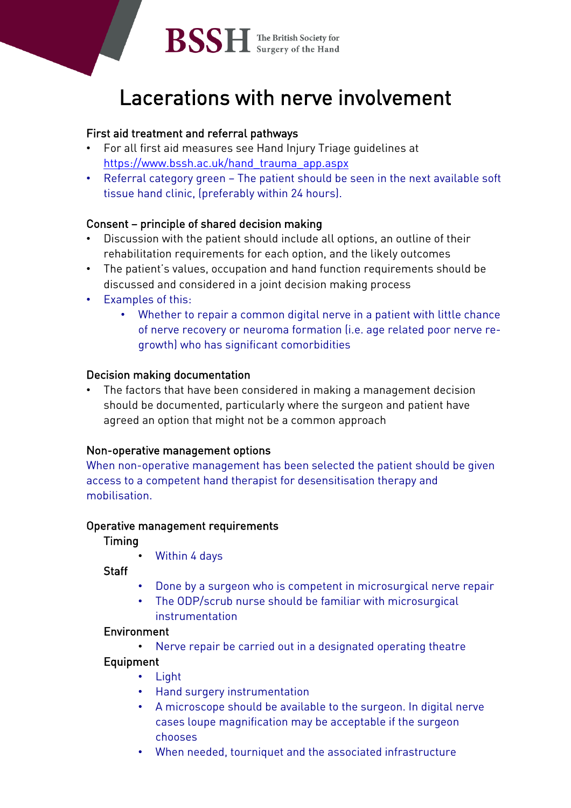

# Lacerations with nerve involvement

## First aid treatment and referral pathways

- For all first aid measures see Hand Injury Triage guidelines at [https://www.bssh.ac.uk/hand\\_trauma\\_app.aspx](https://www.bssh.ac.uk/hand_trauma_app.aspx)
- Referral category green The patient should be seen in the next available soft tissue hand clinic, (preferably within 24 hours).

## Consent – principle of shared decision making

- Discussion with the patient should include all options, an outline of their rehabilitation requirements for each option, and the likely outcomes
- The patient's values, occupation and hand function requirements should be discussed and considered in a joint decision making process
- Examples of this:
	- Whether to repair a common digital nerve in a patient with little chance of nerve recovery or neuroma formation (i.e. age related poor nerve regrowth) who has significant comorbidities

## Decision making documentation

• The factors that have been considered in making a management decision should be documented, particularly where the surgeon and patient have agreed an option that might not be a common approach

## Non-operative management options

When non-operative management has been selected the patient should be given access to a competent hand therapist for desensitisation therapy and mobilisation.

#### Operative management requirements

Timing

• Within 4 days

**Staff** 

- Done by a surgeon who is competent in microsurgical nerve repair
- The ODP/scrub nurse should be familiar with microsurgical instrumentation

## Environment

• Nerve repair be carried out in a designated operating theatre

## Equipment

- Light
- Hand surgery instrumentation
- A microscope should be available to the surgeon. In digital nerve cases loupe magnification may be acceptable if the surgeon chooses
- When needed, tourniquet and the associated infrastructure